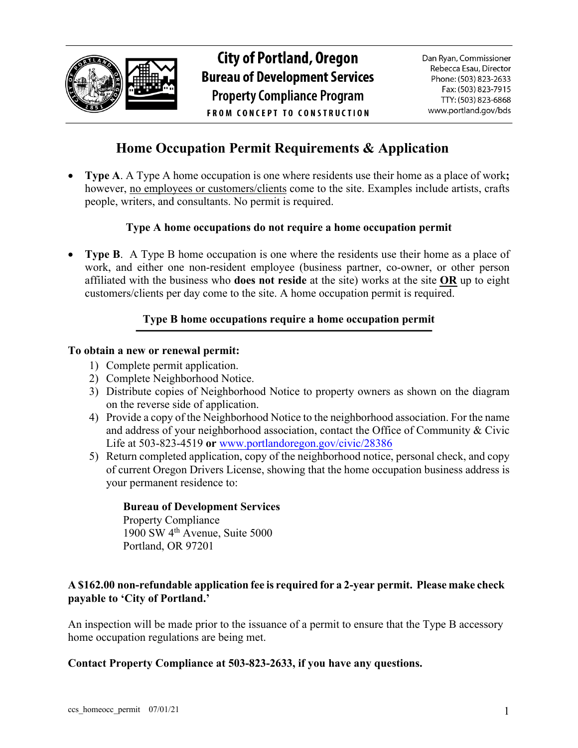

# **City of Portland, Oregon Bureau of Development Services Property Compliance Program FROM CONCEPT TO CONSTRUCTION**

### **Home Occupation Permit Requirements & Application**

• **Type A**. A Type A home occupation is one where residents use their home as a place of work**;** however, no employees or customers/clients come to the site. Examples include artists, crafts people, writers, and consultants. No permit is required.

#### **Type A home occupations do not require a home occupation permit**

• **Type B**. A Type B home occupation is one where the residents use their home as a place of work, and either one non-resident employee (business partner, co-owner, or other person affiliated with the business who **does not reside** at the site) works at the site **OR** up to eight customers/clients per day come to the site. A home occupation permit is required.

### **Type B home occupations require a home occupation permit**

### **To obtain a new or renewal permit:**

- 1) Complete permit application.
- 2) Complete Neighborhood Notice.
- 3) Distribute copies of Neighborhood Notice to property owners as shown on the diagram on the reverse side of application.
- 4) Provide a copy of the Neighborhood Notice to the neighborhood association. For the name and address of your neighborhood association, contact the Office of Community & Civic Life at 503-823-4519 **or** www.portlandoregon.gov/civic/28386
- 5) Return completed application, copy of the neighborhood notice, personal check, and copy of current Oregon Drivers License, showing that the home occupation business address is your permanent residence to:

#### **Bureau of Development Services**

Property Compliance 1900 SW 4th Avenue, Suite 5000 Portland, OR 97201

### **A \$162.00 non-refundable application fee is required for a 2-year permit. Please make check payable to 'City of Portland.'**

An inspection will be made prior to the issuance of a permit to ensure that the Type B accessory home occupation regulations are being met.

#### **Contact Property Compliance at 503-823-2633, if you have any questions.**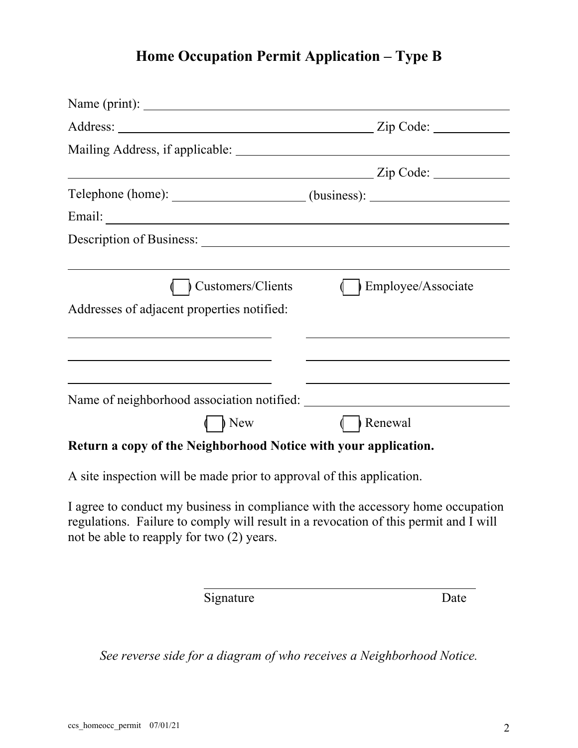# **Home Occupation Permit Application – Type B**

| Name (print):                                                                                                                                                                                                                        |                           |
|--------------------------------------------------------------------------------------------------------------------------------------------------------------------------------------------------------------------------------------|---------------------------|
|                                                                                                                                                                                                                                      | Zip Code:                 |
|                                                                                                                                                                                                                                      |                           |
| <u> 1989 - Johann Stoff, deutscher Stoffen und der Stoffen und der Stoffen und der Stoffen und der Stoffen und der</u>                                                                                                               | Zip Code:                 |
| Telephone (home): _____________________(business): _____________________________                                                                                                                                                     |                           |
| Email: <u>and the contract of the contract of the contract of the contract of the contract of the contract of the contract of the contract of the contract of the contract of the contract of the contract of the contract of th</u> |                           |
|                                                                                                                                                                                                                                      |                           |
|                                                                                                                                                                                                                                      |                           |
| <b>Customers/Clients</b>                                                                                                                                                                                                             | <b>Employee/Associate</b> |
| Addresses of adjacent properties notified:                                                                                                                                                                                           |                           |
| <u> 1989 - Andrea Barbara, Amerikaansk politiker (d. 1989)</u>                                                                                                                                                                       |                           |
|                                                                                                                                                                                                                                      |                           |
|                                                                                                                                                                                                                                      |                           |
| Name of neighborhood association notified:                                                                                                                                                                                           |                           |
| $\sum$ New                                                                                                                                                                                                                           | Renewal                   |
| Return a copy of the Neighborhood Notice with your application.                                                                                                                                                                      |                           |

A site inspection will be made prior to approval of this application.

I agree to conduct my business in compliance with the accessory home occupation regulations. Failure to comply will result in a revocation of this permit and I will not be able to reapply for two (2) years.

Signature Date

*See reverse side for a diagram of who receives a Neighborhood Notice.*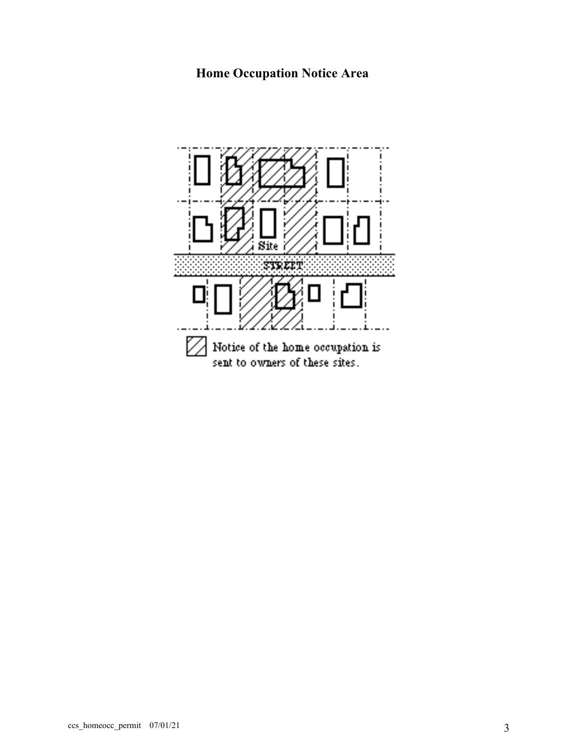## **Home Occupation Notice Area**

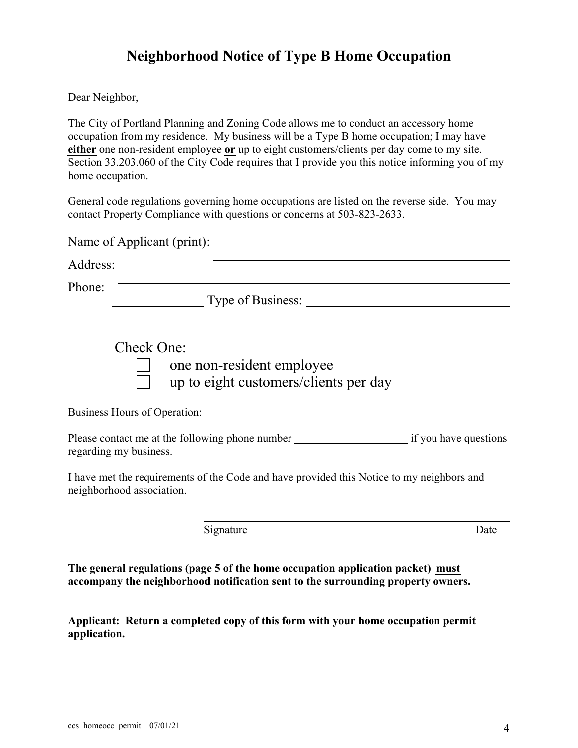## **Neighborhood Notice of Type B Home Occupation**

Dear Neighbor,

The City of Portland Planning and Zoning Code allows me to conduct an accessory home occupation from my residence. My business will be a Type B home occupation; I may have **either** one non-resident employee **or** up to eight customers/clients per day come to my site. Section 33.203.060 of the City Code requires that I provide you this notice informing you of my home occupation.

General code regulations governing home occupations are listed on the reverse side. You may contact Property Compliance with questions or concerns at 503-823-2633.

| Name of Applicant (print):                                                                                             |      |
|------------------------------------------------------------------------------------------------------------------------|------|
| Address:                                                                                                               |      |
| Phone:<br>Type of Business:                                                                                            |      |
| Check One:<br>one non-resident employee<br>up to eight customers/clients per day                                       |      |
| Business Hours of Operation:                                                                                           |      |
| regarding my business.                                                                                                 |      |
| I have met the requirements of the Code and have provided this Notice to my neighbors and<br>neighborhood association. |      |
| Signature                                                                                                              | Date |

**The general regulations (page 5 of the home occupation application packet) must accompany the neighborhood notification sent to the surrounding property owners.** 

**Applicant: Return a completed copy of this form with your home occupation permit application.**